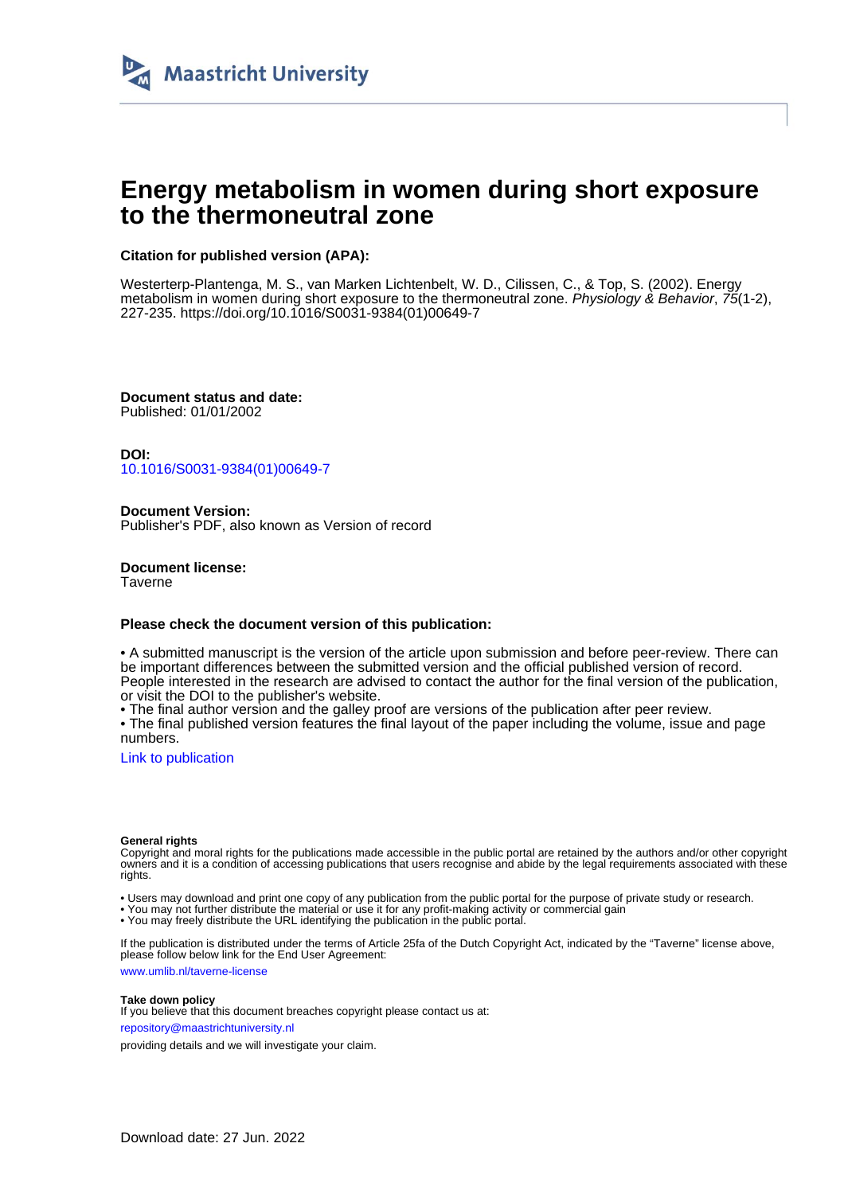

# **Energy metabolism in women during short exposure to the thermoneutral zone**

## **Citation for published version (APA):**

Westerterp-Plantenga, M. S., van Marken Lichtenbelt, W. D., Cilissen, C., & Top, S. (2002). Energy metabolism in women during short exposure to the thermoneutral zone. Physiology & Behavior, 75(1-2), 227-235. [https://doi.org/10.1016/S0031-9384\(01\)00649-7](https://doi.org/10.1016/S0031-9384(01)00649-7)

**Document status and date:** Published: 01/01/2002

**DOI:** [10.1016/S0031-9384\(01\)00649-7](https://doi.org/10.1016/S0031-9384(01)00649-7)

**Document Version:** Publisher's PDF, also known as Version of record

**Document license: Taverne** 

## **Please check the document version of this publication:**

• A submitted manuscript is the version of the article upon submission and before peer-review. There can be important differences between the submitted version and the official published version of record. People interested in the research are advised to contact the author for the final version of the publication, or visit the DOI to the publisher's website.

• The final author version and the galley proof are versions of the publication after peer review.

• The final published version features the final layout of the paper including the volume, issue and page numbers.

[Link to publication](https://cris.maastrichtuniversity.nl/en/publications/1e07af26-6d87-42fe-9d3e-b39114280cba)

#### **General rights**

Copyright and moral rights for the publications made accessible in the public portal are retained by the authors and/or other copyright owners and it is a condition of accessing publications that users recognise and abide by the legal requirements associated with these rights.

• Users may download and print one copy of any publication from the public portal for the purpose of private study or research.

• You may not further distribute the material or use it for any profit-making activity or commercial gain

• You may freely distribute the URL identifying the publication in the public portal.

If the publication is distributed under the terms of Article 25fa of the Dutch Copyright Act, indicated by the "Taverne" license above, please follow below link for the End User Agreement:

www.umlib.nl/taverne-license

## **Take down policy**

If you believe that this document breaches copyright please contact us at: repository@maastrichtuniversity.nl

providing details and we will investigate your claim.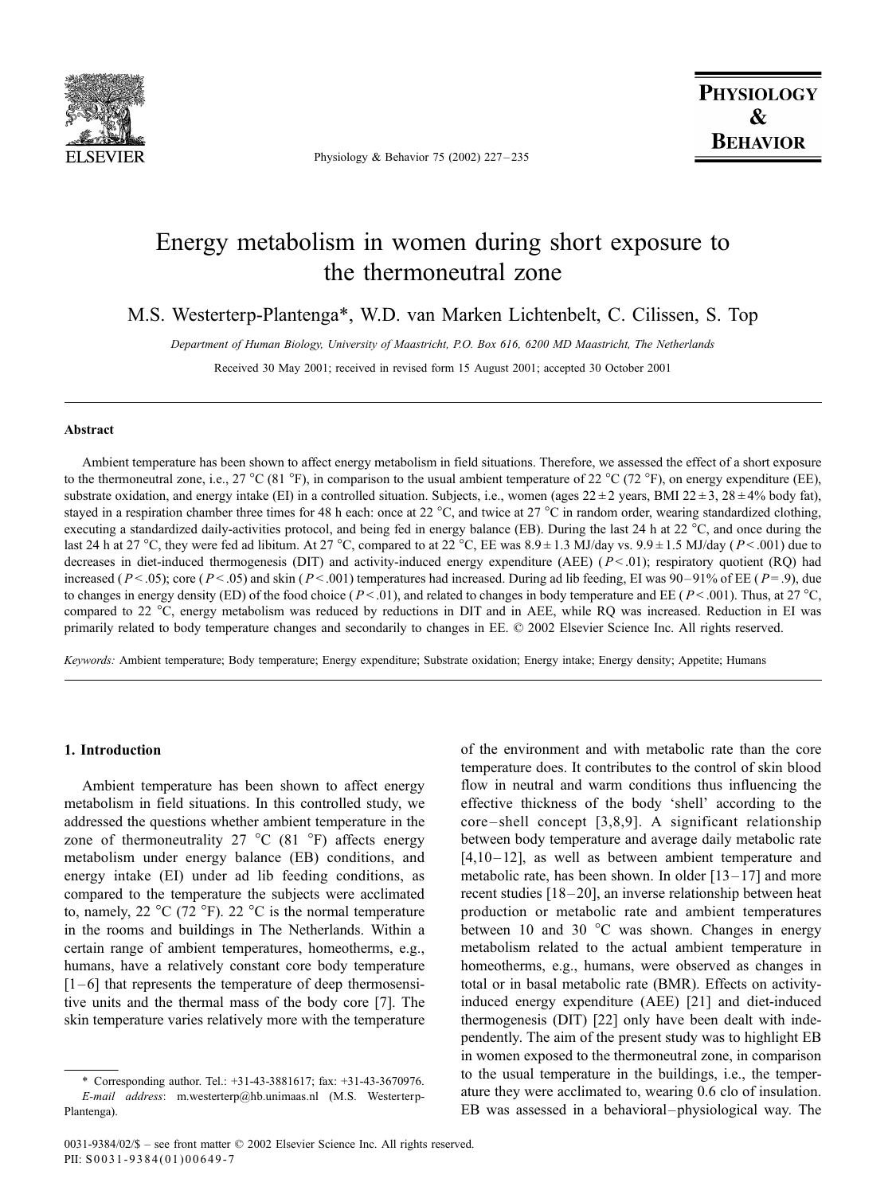

Physiology & Behavior 75 (2002) 227 – 235

## Energy metabolism in women during short exposure to the thermoneutral zone

M.S. Westerterp-Plantenga\*, W.D. van Marken Lichtenbelt, C. Cilissen, S. Top

Department of Human Biology, University of Maastricht, P.O. Box 616, 6200 MD Maastricht, The Netherlands

Received 30 May 2001; received in revised form 15 August 2001; accepted 30 October 2001

## Abstract

Ambient temperature has been shown to affect energy metabolism in field situations. Therefore, we assessed the effect of a short exposure to the thermoneutral zone, i.e., 27 °C (81 °F), in comparison to the usual ambient temperature of 22 °C (72 °F), on energy expenditure (EE), substrate oxidation, and energy intake (EI) in a controlled situation. Subjects, i.e., women (ages  $22 \pm 2$  years, BMI 22  $\pm 3$ , 28  $\pm 4\%$  body fat), stayed in a respiration chamber three times for 48 h each: once at 22 °C, and twice at 27 °C in random order, wearing standardized clothing, executing a standardized daily-activities protocol, and being fed in energy balance (EB). During the last 24 h at 22  $^{\circ}$ C, and once during the last 24 h at 27 °C, they were fed ad libitum. At 27 °C, compared to at 22 °C, EE was  $8.9 \pm 1.3$  MJ/day vs.  $9.9 \pm 1.5$  MJ/day (P < .001) due to decreases in diet-induced thermogenesis (DIT) and activity-induced energy expenditure (AEE)  $(P < .01)$ ; respiratory quotient (RQ) had increased ( $P < .05$ ); core ( $P < .05$ ) and skin ( $P < .001$ ) temperatures had increased. During ad lib feeding, EI was 90-91% of EE ( $P = .9$ ), due to changes in energy density (ED) of the food choice ( $P < .01$ ), and related to changes in body temperature and EE ( $P < .001$ ). Thus, at 27 °C, compared to 22 °C, energy metabolism was reduced by reductions in DIT and in AEE, while RQ was increased. Reduction in EI was primarily related to body temperature changes and secondarily to changes in EE.  $\oslash$  2002 Elsevier Science Inc. All rights reserved.

Keywords: Ambient temperature; Body temperature; Energy expenditure; Substrate oxidation; Energy intake; Energy density; Appetite; Humans

## 1. Introduction

Ambient temperature has been shown to affect energy metabolism in field situations. In this controlled study, we addressed the questions whether ambient temperature in the zone of thermoneutrality 27  $^{\circ}$ C (81  $^{\circ}$ F) affects energy metabolism under energy balance (EB) conditions, and energy intake (EI) under ad lib feeding conditions, as compared to the temperature the subjects were acclimated to, namely, 22  $^{\circ}$ C (72  $^{\circ}$ F). 22  $^{\circ}$ C is the normal temperature in the rooms and buildings in The Netherlands. Within a certain range of ambient temperatures, homeotherms, e.g., humans, have a relatively constant core body temperature  $[1-6]$  that represents the temperature of deep thermosensitive units and the thermal mass of the body core [7]. The skin temperature varies relatively more with the temperature of the environment and with metabolic rate than the core temperature does. It contributes to the control of skin blood flow in neutral and warm conditions thus influencing the effective thickness of the body 'shell' according to the core – shell concept [3,8,9]. A significant relationship between body temperature and average daily metabolic rate  $[4,10-12]$ , as well as between ambient temperature and metabolic rate, has been shown. In older  $[13-17]$  and more recent studies [18-20], an inverse relationship between heat production or metabolic rate and ambient temperatures between 10 and 30  $^{\circ}$ C was shown. Changes in energy metabolism related to the actual ambient temperature in homeotherms, e.g., humans, were observed as changes in total or in basal metabolic rate (BMR). Effects on activityinduced energy expenditure (AEE) [21] and diet-induced thermogenesis (DIT) [22] only have been dealt with independently. The aim of the present study was to highlight EB in women exposed to the thermoneutral zone, in comparison to the usual temperature in the buildings, i.e., the temperature they were acclimated to, wearing 0.6 clo of insulation. EB was assessed in a behavioral-physiological way. The

<sup>\*</sup> Corresponding author. Tel.: +31-43-3881617; fax: +31-43-3670976. E-mail address: m.westerterp@hb.unimaas.nl (M.S. Westerterp-Plantenga).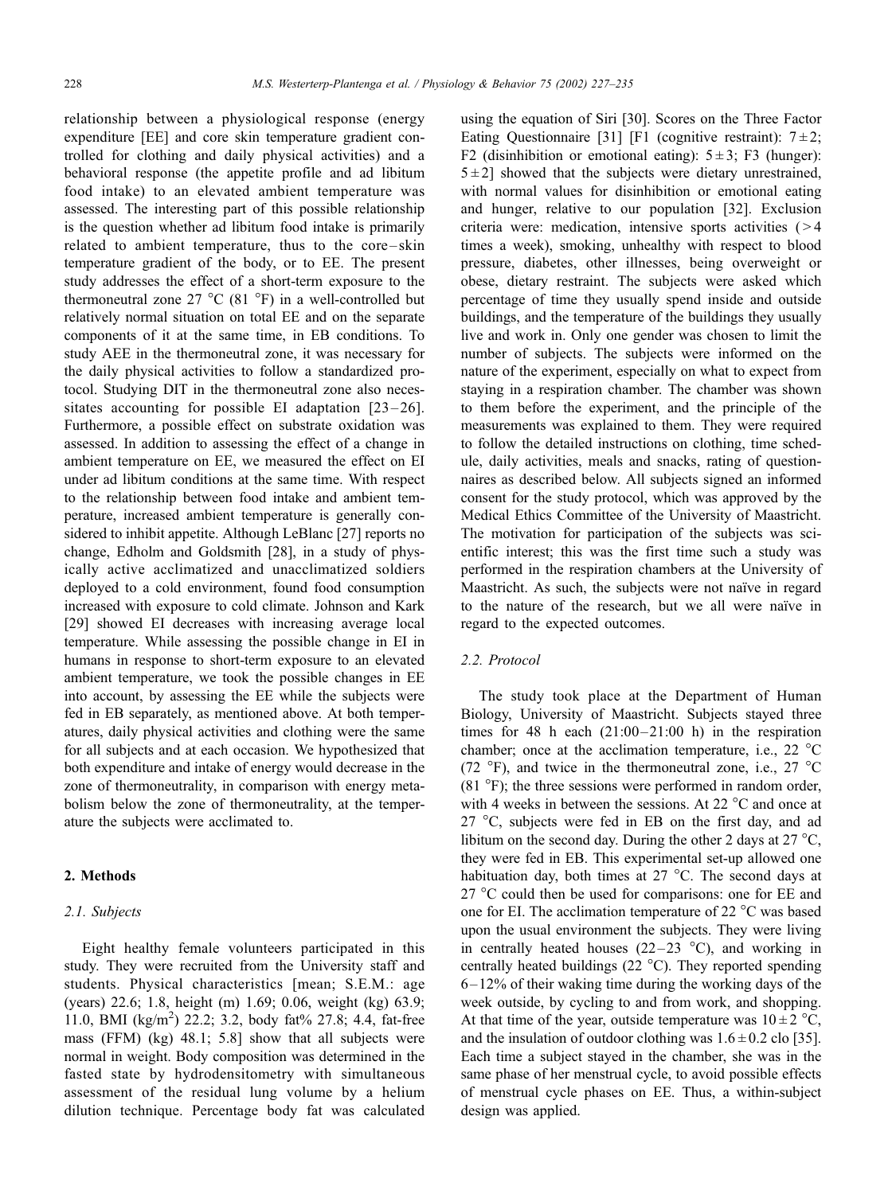relationship between a physiological response (energy expenditure [EE] and core skin temperature gradient controlled for clothing and daily physical activities) and a behavioral response (the appetite profile and ad libitum food intake) to an elevated ambient temperature was assessed. The interesting part of this possible relationship is the question whether ad libitum food intake is primarily related to ambient temperature, thus to the core – skin temperature gradient of the body, or to EE. The present study addresses the effect of a short-term exposure to the thermoneutral zone 27  $^{\circ}$ C (81  $^{\circ}$ F) in a well-controlled but relatively normal situation on total EE and on the separate components of it at the same time, in EB conditions. To study AEE in the thermoneutral zone, it was necessary for the daily physical activities to follow a standardized protocol. Studying DIT in the thermoneutral zone also necessitates accounting for possible EI adaptation  $[23-26]$ . Furthermore, a possible effect on substrate oxidation was assessed. In addition to assessing the effect of a change in ambient temperature on EE, we measured the effect on EI under ad libitum conditions at the same time. With respect to the relationship between food intake and ambient temperature, increased ambient temperature is generally considered to inhibit appetite. Although LeBlanc [27] reports no change, Edholm and Goldsmith [28], in a study of physically active acclimatized and unacclimatized soldiers deployed to a cold environment, found food consumption increased with exposure to cold climate. Johnson and Kark [29] showed EI decreases with increasing average local temperature. While assessing the possible change in EI in humans in response to short-term exposure to an elevated ambient temperature, we took the possible changes in EE into account, by assessing the EE while the subjects were fed in EB separately, as mentioned above. At both temperatures, daily physical activities and clothing were the same for all subjects and at each occasion. We hypothesized that both expenditure and intake of energy would decrease in the zone of thermoneutrality, in comparison with energy metabolism below the zone of thermoneutrality, at the temperature the subjects were acclimated to.

#### 2. Methods

## 2.1. Subjects

Eight healthy female volunteers participated in this study. They were recruited from the University staff and students. Physical characteristics [mean; S.E.M.: age (years) 22.6; 1.8, height (m) 1.69; 0.06, weight (kg) 63.9; 11.0, BMI (kg/m<sup>2</sup>) 22.2; 3.2, body fat% 27.8; 4.4, fat-free mass (FFM) (kg) 48.1; 5.8] show that all subjects were normal in weight. Body composition was determined in the fasted state by hydrodensitometry with simultaneous assessment of the residual lung volume by a helium dilution technique. Percentage body fat was calculated using the equation of Siri [30]. Scores on the Three Factor Eating Questionnaire [31] [F1 (cognitive restraint):  $7 \pm 2$ ; F2 (disinhibition or emotional eating):  $5 \pm 3$ ; F3 (hunger):  $5 \pm 2$ ] showed that the subjects were dietary unrestrained, with normal values for disinhibition or emotional eating and hunger, relative to our population [32]. Exclusion criteria were: medication, intensive sports activities  $($  > 4 times a week), smoking, unhealthy with respect to blood pressure, diabetes, other illnesses, being overweight or obese, dietary restraint. The subjects were asked which percentage of time they usually spend inside and outside buildings, and the temperature of the buildings they usually live and work in. Only one gender was chosen to limit the number of subjects. The subjects were informed on the nature of the experiment, especially on what to expect from staying in a respiration chamber. The chamber was shown to them before the experiment, and the principle of the measurements was explained to them. They were required to follow the detailed instructions on clothing, time schedule, daily activities, meals and snacks, rating of questionnaires as described below. All subjects signed an informed consent for the study protocol, which was approved by the Medical Ethics Committee of the University of Maastricht. The motivation for participation of the subjects was scientific interest; this was the first time such a study was performed in the respiration chambers at the University of Maastricht. As such, the subjects were not naïve in regard to the nature of the research, but we all were naïve in regard to the expected outcomes.

#### 2.2. Protocol

The study took place at the Department of Human Biology, University of Maastricht. Subjects stayed three times for 48 h each  $(21:00-21:00)$  h) in the respiration chamber; once at the acclimation temperature, i.e., 22  $^{\circ}$ C (72  $\degree$ F), and twice in the thermoneutral zone, i.e., 27  $\degree$ C  $(81 \degree F)$ ; the three sessions were performed in random order, with 4 weeks in between the sessions. At 22  $^{\circ}$ C and once at 27  $\degree$ C, subjects were fed in EB on the first day, and ad libitum on the second day. During the other 2 days at 27  $^{\circ}C$ , they were fed in EB. This experimental set-up allowed one habituation day, both times at  $27^{\circ}$ C. The second days at  $27^{\circ}$ C could then be used for comparisons: one for EE and one for EI. The acclimation temperature of 22  $^{\circ}$ C was based upon the usual environment the subjects. They were living in centrally heated houses (22–23  $^{\circ}$ C), and working in centrally heated buildings  $(22 \degree C)$ . They reported spending  $6 - 12\%$  of their waking time during the working days of the week outside, by cycling to and from work, and shopping. At that time of the year, outside temperature was  $10 \pm 2$  °C, and the insulation of outdoor clothing was  $1.6 \pm 0.2$  clo [35]. Each time a subject stayed in the chamber, she was in the same phase of her menstrual cycle, to avoid possible effects of menstrual cycle phases on EE. Thus, a within-subject design was applied.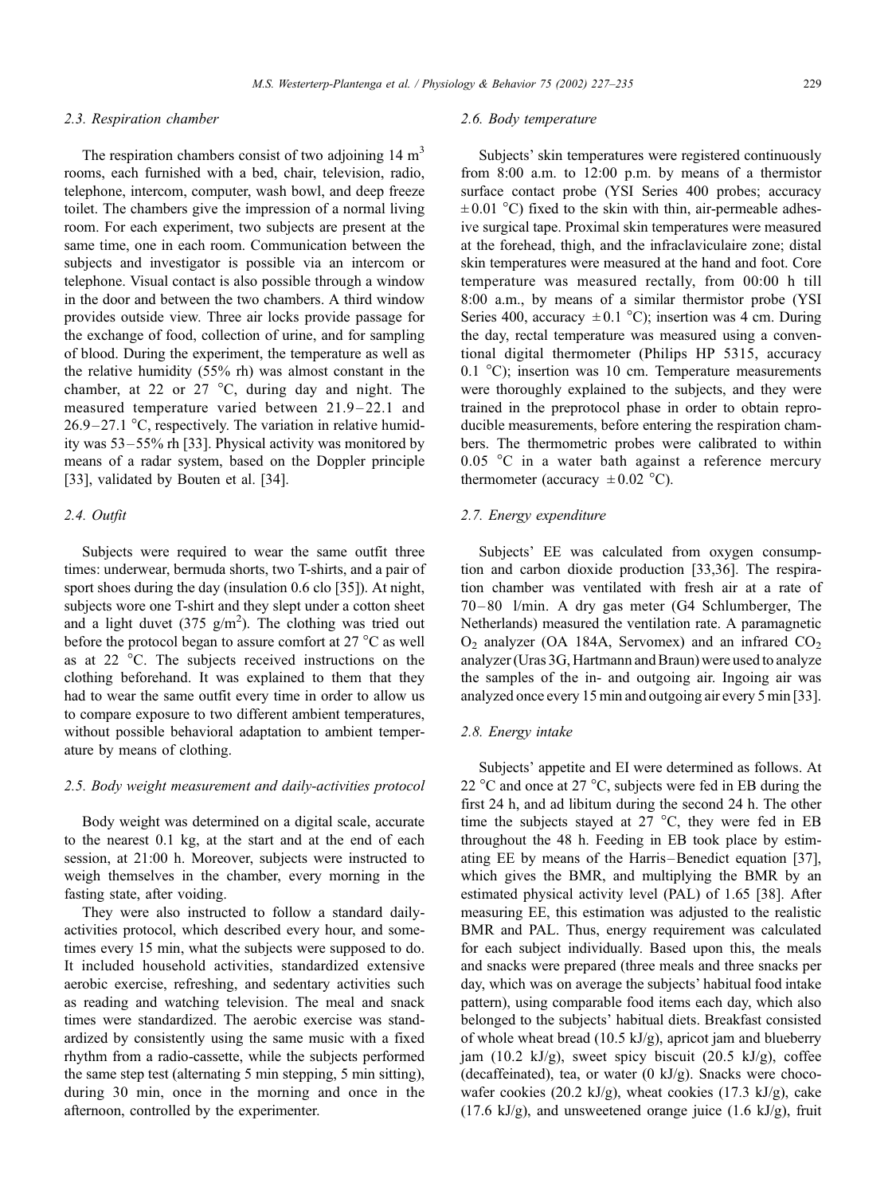#### 2.3. Respiration chamber

The respiration chambers consist of two adjoining  $14 \text{ m}^3$ rooms, each furnished with a bed, chair, television, radio, telephone, intercom, computer, wash bowl, and deep freeze toilet. The chambers give the impression of a normal living room. For each experiment, two subjects are present at the same time, one in each room. Communication between the subjects and investigator is possible via an intercom or telephone. Visual contact is also possible through a window in the door and between the two chambers. A third window provides outside view. Three air locks provide passage for the exchange of food, collection of urine, and for sampling of blood. During the experiment, the temperature as well as the relative humidity (55% rh) was almost constant in the chamber, at 22 or 27  $\degree$ C, during day and night. The measured temperature varied between 21.9-22.1 and  $26.9 - 27.1$  °C, respectively. The variation in relative humidity was 53 –55% rh [33]. Physical activity was monitored by means of a radar system, based on the Doppler principle [33], validated by Bouten et al. [34].

#### 2.4. Outfit

Subjects were required to wear the same outfit three times: underwear, bermuda shorts, two T-shirts, and a pair of sport shoes during the day (insulation 0.6 clo [35]). At night, subjects wore one T-shirt and they slept under a cotton sheet and a light duvet (375  $g/m^2$ ). The clothing was tried out before the protocol began to assure comfort at  $27^{\circ}$ C as well as at 22  $\degree$ C. The subjects received instructions on the clothing beforehand. It was explained to them that they had to wear the same outfit every time in order to allow us to compare exposure to two different ambient temperatures, without possible behavioral adaptation to ambient temperature by means of clothing.

## 2.5. Body weight measurement and daily-activities protocol

Body weight was determined on a digital scale, accurate to the nearest 0.1 kg, at the start and at the end of each session, at 21:00 h. Moreover, subjects were instructed to weigh themselves in the chamber, every morning in the fasting state, after voiding.

They were also instructed to follow a standard dailyactivities protocol, which described every hour, and sometimes every 15 min, what the subjects were supposed to do. It included household activities, standardized extensive aerobic exercise, refreshing, and sedentary activities such as reading and watching television. The meal and snack times were standardized. The aerobic exercise was standardized by consistently using the same music with a fixed rhythm from a radio-cassette, while the subjects performed the same step test (alternating 5 min stepping, 5 min sitting), during 30 min, once in the morning and once in the afternoon, controlled by the experimenter.

#### 2.6. Body temperature

Subjects' skin temperatures were registered continuously from 8:00 a.m. to 12:00 p.m. by means of a thermistor surface contact probe (YSI Series 400 probes; accuracy  $\pm 0.01$  °C) fixed to the skin with thin, air-permeable adhesive surgical tape. Proximal skin temperatures were measured at the forehead, thigh, and the infraclaviculaire zone; distal skin temperatures were measured at the hand and foot. Core temperature was measured rectally, from 00:00 h till 8:00 a.m., by means of a similar thermistor probe (YSI Series 400, accuracy  $\pm 0.1$  °C); insertion was 4 cm. During the day, rectal temperature was measured using a conventional digital thermometer (Philips HP 5315, accuracy 0.1  $^{\circ}$ C); insertion was 10 cm. Temperature measurements were thoroughly explained to the subjects, and they were trained in the preprotocol phase in order to obtain reproducible measurements, before entering the respiration chambers. The thermometric probes were calibrated to within  $0.05$  °C in a water bath against a reference mercury thermometer (accuracy  $\pm 0.02$  °C).

#### 2.7. Energy expenditure

Subjects' EE was calculated from oxygen consumption and carbon dioxide production [33,36]. The respiration chamber was ventilated with fresh air at a rate of 70 – 80 l/min. A dry gas meter (G4 Schlumberger, The Netherlands) measured the ventilation rate. A paramagnetic  $O_2$  analyzer (OA 184A, Servomex) and an infrared  $CO_2$ analyzer (Uras 3G, Hartmann and Braun) were used to analyze the samples of the in- and outgoing air. Ingoing air was analyzed once every 15 min and outgoing air every 5 min [33].

#### 2.8. Energy intake

Subjects' appetite and EI were determined as follows. At 22  $\degree$ C and once at 27  $\degree$ C, subjects were fed in EB during the first 24 h, and ad libitum during the second 24 h. The other time the subjects stayed at 27  $\degree$ C, they were fed in EB throughout the 48 h. Feeding in EB took place by estimating EE by means of the Harris–Benedict equation [37], which gives the BMR, and multiplying the BMR by an estimated physical activity level (PAL) of 1.65 [38]. After measuring EE, this estimation was adjusted to the realistic BMR and PAL. Thus, energy requirement was calculated for each subject individually. Based upon this, the meals and snacks were prepared (three meals and three snacks per day, which was on average the subjects' habitual food intake pattern), using comparable food items each day, which also belonged to the subjects' habitual diets. Breakfast consisted of whole wheat bread  $(10.5 \text{ kJ/g})$ , apricot jam and blueberry jam (10.2 kJ/g), sweet spicy biscuit (20.5 kJ/g), coffee (decaffeinated), tea, or water  $(0 \text{ kJ/g})$ . Snacks were chocowafer cookies (20.2 kJ/g), wheat cookies (17.3 kJ/g), cake  $(17.6 \text{ kJ/g})$ , and unsweetened orange juice  $(1.6 \text{ kJ/g})$ , fruit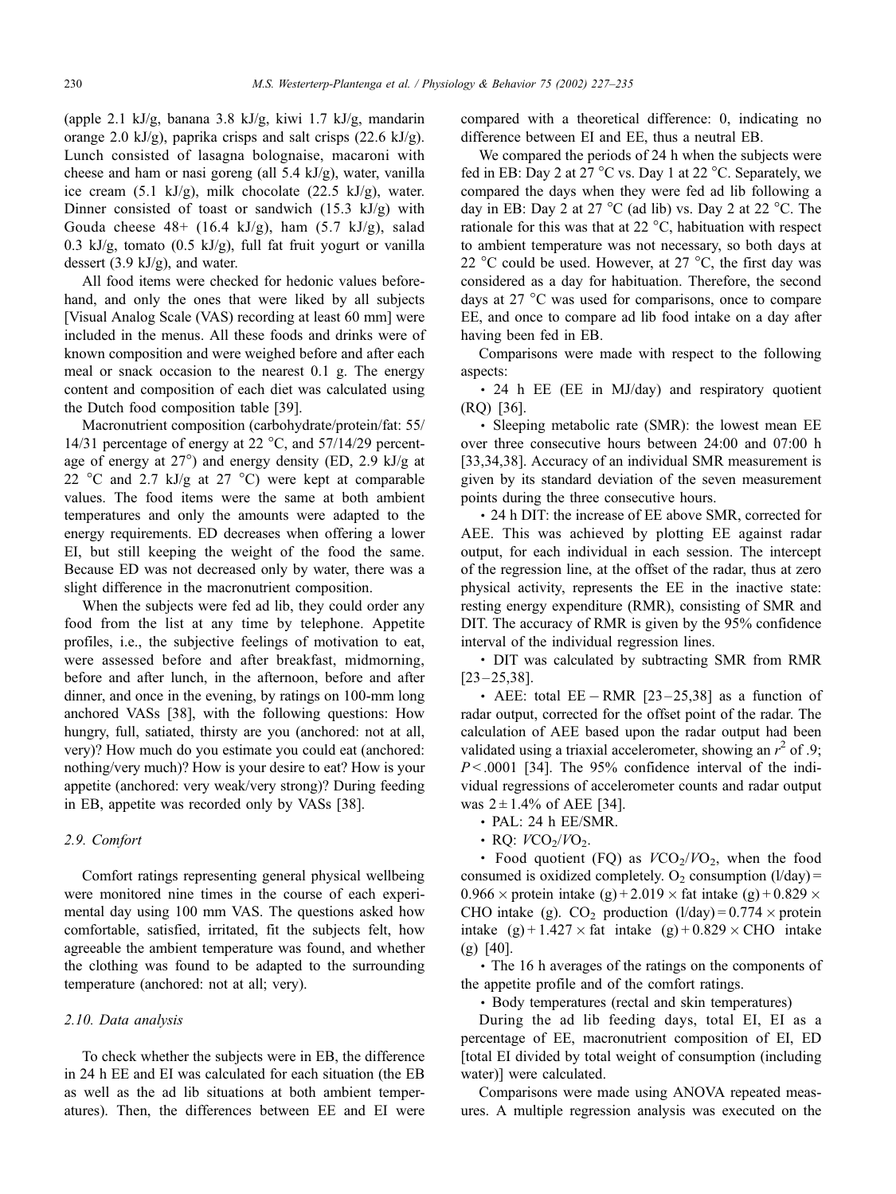(apple 2.1 kJ/g, banana 3.8 kJ/g, kiwi 1.7 kJ/g, mandarin orange 2.0 kJ/g), paprika crisps and salt crisps (22.6 kJ/g). Lunch consisted of lasagna bolognaise, macaroni with cheese and ham or nasi goreng (all 5.4 kJ/g), water, vanilla ice cream  $(5.1 \text{ kJ/g})$ , milk chocolate  $(22.5 \text{ kJ/g})$ , water. Dinner consisted of toast or sandwich (15.3 kJ/g) with Gouda cheese  $48+ (16.4 \text{ kJ/g})$ , ham  $(5.7 \text{ kJ/g})$ , salad 0.3 kJ/g, tomato (0.5 kJ/g), full fat fruit yogurt or vanilla dessert (3.9 kJ/g), and water.

All food items were checked for hedonic values beforehand, and only the ones that were liked by all subjects [Visual Analog Scale (VAS) recording at least 60 mm] were included in the menus. All these foods and drinks were of known composition and were weighed before and after each meal or snack occasion to the nearest 0.1 g. The energy content and composition of each diet was calculated using the Dutch food composition table [39].

Macronutrient composition (carbohydrate/protein/fat: 55/ 14/31 percentage of energy at 22  $^{\circ}$ C, and 57/14/29 percentage of energy at  $27^{\circ}$ ) and energy density (ED, 2.9 kJ/g at 22 °C and 2.7 kJ/g at 27 °C) were kept at comparable values. The food items were the same at both ambient temperatures and only the amounts were adapted to the energy requirements. ED decreases when offering a lower EI, but still keeping the weight of the food the same. Because ED was not decreased only by water, there was a slight difference in the macronutrient composition.

When the subjects were fed ad lib, they could order any food from the list at any time by telephone. Appetite profiles, i.e., the subjective feelings of motivation to eat, were assessed before and after breakfast, midmorning, before and after lunch, in the afternoon, before and after dinner, and once in the evening, by ratings on 100-mm long anchored VASs [38], with the following questions: How hungry, full, satiated, thirsty are you (anchored: not at all, very)? How much do you estimate you could eat (anchored: nothing/very much)? How is your desire to eat? How is your appetite (anchored: very weak/very strong)? During feeding in EB, appetite was recorded only by VASs [38].

## 2.9. Comfort

Comfort ratings representing general physical wellbeing were monitored nine times in the course of each experimental day using 100 mm VAS. The questions asked how comfortable, satisfied, irritated, fit the subjects felt, how agreeable the ambient temperature was found, and whether the clothing was found to be adapted to the surrounding temperature (anchored: not at all; very).

#### 2.10. Data analysis

To check whether the subjects were in EB, the difference in 24 h EE and EI was calculated for each situation (the EB as well as the ad lib situations at both ambient temperatures). Then, the differences between EE and EI were compared with a theoretical difference: 0, indicating no difference between EI and EE, thus a neutral EB.

We compared the periods of 24 h when the subjects were fed in EB: Day 2 at 27 °C vs. Day 1 at 22 °C. Separately, we compared the days when they were fed ad lib following a day in EB: Day 2 at 27  $^{\circ}$ C (ad lib) vs. Day 2 at 22  $^{\circ}$ C. The rationale for this was that at  $22^{\circ}$ C, habituation with respect to ambient temperature was not necessary, so both days at 22 °C could be used. However, at 27 °C, the first day was considered as a day for habituation. Therefore, the second days at 27 °C was used for comparisons, once to compare EE, and once to compare ad lib food intake on a day after having been fed in EB.

Comparisons were made with respect to the following aspects:

 24 h EE (EE in MJ/day) and respiratory quotient (RQ) [36].

• Sleeping metabolic rate (SMR): the lowest mean EE over three consecutive hours between 24:00 and 07:00 h [33,34,38]. Accuracy of an individual SMR measurement is given by its standard deviation of the seven measurement points during the three consecutive hours.

 24 h DIT: the increase of EE above SMR, corrected for AEE. This was achieved by plotting EE against radar output, for each individual in each session. The intercept of the regression line, at the offset of the radar, thus at zero physical activity, represents the EE in the inactive state: resting energy expenditure (RMR), consisting of SMR and DIT. The accuracy of RMR is given by the 95% confidence interval of the individual regression lines.

• DIT was calculated by subtracting SMR from RMR  $[23 - 25, 38]$ .

AEE: total EE - RMR  $[23-25,38]$  as a function of radar output, corrected for the offset point of the radar. The calculation of AEE based upon the radar output had been validated using a triaxial accelerometer, showing an  $r^2$  of .9;  $P < .0001$  [34]. The 95% confidence interval of the individual regressions of accelerometer counts and radar output was  $2 \pm 1.4\%$  of AEE [34].

- PAL: 24 h EE/SMR.
- $\cdot$  RO:  $VCO<sub>2</sub>/VO<sub>2</sub>$ .

• Food quotient (FQ) as  $VCO_2/VO_2$ , when the food consumed is oxidized completely.  $O_2$  consumption (l/day) =  $0.966 \times$  protein intake (g) + 2.019  $\times$  fat intake (g) + 0.829  $\times$ CHO intake (g).  $CO_2$  production (l/day) = 0.774  $\times$  protein intake  $(g) + 1.427 \times$  fat intake  $(g) + 0.829 \times$  CHO intake (g) [40].

 The 16 h averages of the ratings on the components of the appetite profile and of the comfort ratings.

Body temperatures (rectal and skin temperatures)

During the ad lib feeding days, total EI, EI as a percentage of EE, macronutrient composition of EI, ED [total EI divided by total weight of consumption (including water)] were calculated.

Comparisons were made using ANOVA repeated measures. A multiple regression analysis was executed on the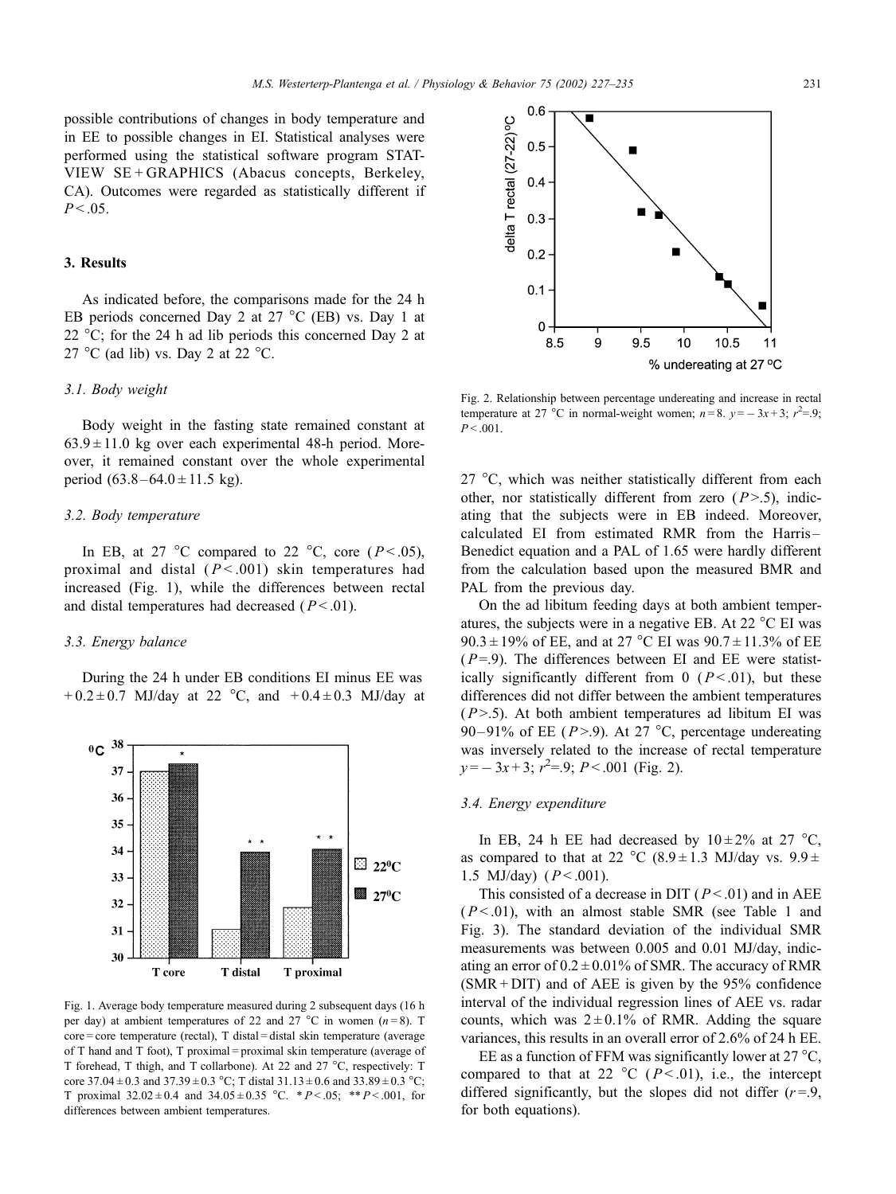possible contributions of changes in body temperature and in EE to possible changes in EI. Statistical analyses were performed using the statistical software program STAT-VIEW SE + GRAPHICS (Abacus concepts, Berkeley, CA). Outcomes were regarded as statistically different if  $P < .05$ .

## 3. Results

As indicated before, the comparisons made for the 24 h EB periods concerned Day 2 at 27  $^{\circ}$ C (EB) vs. Day 1 at 22  $^{\circ}$ C; for the 24 h ad lib periods this concerned Day 2 at 27 °C (ad lib) vs. Day 2 at 22 °C.

## 3.1. Body weight

Body weight in the fasting state remained constant at  $63.9 \pm 11.0$  kg over each experimental 48-h period. Moreover, it remained constant over the whole experimental period  $(63.8 - 64.0 \pm 11.5 \text{ kg})$ .

#### 3.2. Body temperature

In EB, at 27 °C compared to 22 °C, core ( $P < .05$ ), proximal and distal  $(P < .001)$  skin temperatures had increased (Fig. 1), while the differences between rectal and distal temperatures had decreased  $(P < .01)$ .

## 3.3. Energy balance

During the 24 h under EB conditions EI minus EE was +  $0.2 \pm 0.7$  MJ/day at 22 °C, and +  $0.4 \pm 0.3$  MJ/day at



Fig. 1. Average body temperature measured during 2 subsequent days (16 h per day) at ambient temperatures of 22 and 27 °C in women ( $n = 8$ ). T core = core temperature (rectal), T distal = distal skin temperature (average of T hand and T foot), T proximal = proximal skin temperature (average of T forehead, T thigh, and T collarbone). At 22 and 27 °C, respectively: T core 37.04  $\pm$  0.3 and 37.39  $\pm$  0.3 °C; T distal 31.13  $\pm$  0.6 and 33.89  $\pm$  0.3 °C; T proximal  $32.02 \pm 0.4$  and  $34.05 \pm 0.35$  °C. \*  $P < .05$ ; \*\*  $P < .001$ , for differences between ambient temperatures.



Fig. 2. Relationship between percentage undereating and increase in rectal temperature at 27 °C in normal-weight women;  $n=8$ .  $y=-3x+3$ ;  $r^2=9$ ;  $P < .001$ .

27  $\degree$ C, which was neither statistically different from each other, nor statistically different from zero  $(P>0.5)$ , indicating that the subjects were in EB indeed. Moreover, calculated EI from estimated RMR from the Harris – Benedict equation and a PAL of 1.65 were hardly different from the calculation based upon the measured BMR and PAL from the previous day.

On the ad libitum feeding days at both ambient temperatures, the subjects were in a negative EB. At 22  $^{\circ}$ C EI was  $90.3 \pm 19\%$  of EE, and at 27 °C EI was  $90.7 \pm 11.3\%$  of EE  $(P=9)$ . The differences between EI and EE were statistically significantly different from 0 ( $P < .01$ ), but these differences did not differ between the ambient temperatures  $(P > .5)$ . At both ambient temperatures ad libitum EI was 90 – 91% of EE ( $P > 9$ ). At 27 °C, percentage undereating was inversely related to the increase of rectal temperature  $y=-3x+3$ ;  $r^2=9$ ;  $P<.001$  (Fig. 2).

## 3.4. Energy expenditure

In EB, 24 h EE had decreased by  $10 \pm 2\%$  at 27 °C, as compared to that at 22 °C (8.9  $\pm$  1.3 MJ/day vs. 9.9  $\pm$ 1.5 MJ/day)  $(P < .001)$ .

This consisted of a decrease in DIT ( $P < .01$ ) and in AEE  $(P < .01)$ , with an almost stable SMR (see Table 1 and Fig. 3). The standard deviation of the individual SMR measurements was between 0.005 and 0.01 MJ/day, indicating an error of  $0.2 \pm 0.01\%$  of SMR. The accuracy of RMR  $(SMR + DIT)$  and of AEE is given by the 95% confidence interval of the individual regression lines of AEE vs. radar counts, which was  $2 \pm 0.1\%$  of RMR. Adding the square variances, this results in an overall error of 2.6% of 24 h EE.

EE as a function of FFM was significantly lower at 27  $^{\circ}C$ , compared to that at 22  $^{\circ}$ C (P < .01), i.e., the intercept differed significantly, but the slopes did not differ  $(r=9, 1)$ for both equations).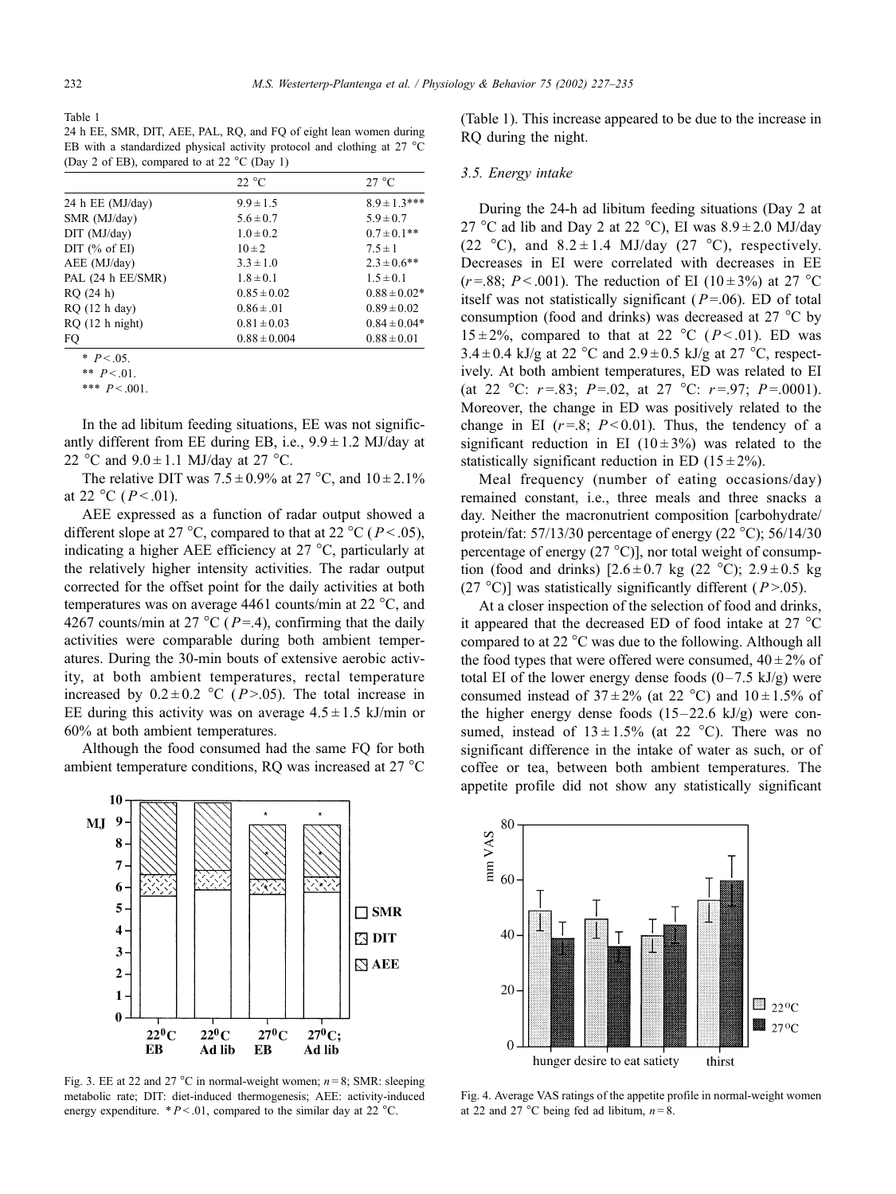Table 1

24 h EE, SMR, DIT, AEE, PAL, RQ, and FQ of eight lean women during EB with a standardized physical activity protocol and clothing at  $27 \text{ °C}$ (Day 2 of EB), compared to at 22  $^{\circ}$ C (Day 1)

|                   | 22 °C            | $27^{\circ}$ C    |
|-------------------|------------------|-------------------|
| 24 h EE (MJ/day)  | $9.9 \pm 1.5$    | $8.9 \pm 1.3$ *** |
| SMR (MJ/day)      | $5.6 \pm 0.7$    | $5.9 \pm 0.7$     |
| DIT (MJ/day)      | $1.0 \pm 0.2$    | $0.7 \pm 0.1$ **  |
| DIT $(\%$ of EI)  | $10 \pm 2$       | $7.5 \pm 1$       |
| AEE (MJ/day)      | $3.3 \pm 1.0$    | $2.3 \pm 0.6$ **  |
| PAL (24 h EE/SMR) | $1.8 \pm 0.1$    | $1.5 \pm 0.1$     |
| RQ(24 h)          | $0.85 \pm 0.02$  | $0.88 \pm 0.02*$  |
| $RQ$ (12 h day)   | $0.86 \pm .01$   | $0.89 \pm 0.02$   |
| $RQ(12)$ h night) | $0.81 \pm 0.03$  | $0.84 \pm 0.04*$  |
| FQ                | $0.88 \pm 0.004$ | $0.88 \pm 0.01$   |

 $*$   $P < .05$ .

\*\*  $P < 01$ .

In the ad libitum feeding situations, EE was not significantly different from EE during EB, i.e.,  $9.9 \pm 1.2$  MJ/day at 22 °C and  $9.0 \pm 1.1$  MJ/day at 27 °C.

The relative DIT was  $7.5 \pm 0.9\%$  at  $27^{\circ}$ C, and  $10 \pm 2.1\%$ at 22 °C ( $P < 0.01$ ).

AEE expressed as a function of radar output showed a different slope at 27 °C, compared to that at 22 °C ( $P < .05$ ), indicating a higher AEE efficiency at  $27^{\circ}$ C, particularly at the relatively higher intensity activities. The radar output corrected for the offset point for the daily activities at both temperatures was on average 4461 counts/min at 22  $^{\circ}$ C, and 4267 counts/min at 27 °C ( $P = .4$ ), confirming that the daily activities were comparable during both ambient temperatures. During the 30-min bouts of extensive aerobic activity, at both ambient temperatures, rectal temperature increased by  $0.2 \pm 0.2$  °C (P>.05). The total increase in EE during this activity was on average  $4.5 \pm 1.5$  kJ/min or 60% at both ambient temperatures.

Although the food consumed had the same FQ for both ambient temperature conditions, RQ was increased at 27 °C



Fig. 3. EE at 22 and 27 °C in normal-weight women;  $n = 8$ ; SMR: sleeping metabolic rate; DIT: diet-induced thermogenesis; AEE: activity-induced energy expenditure.  $*P < .01$ , compared to the similar day at 22 °C.

(Table 1). This increase appeared to be due to the increase in RQ during the night.

## 3.5. Energy intake

During the 24-h ad libitum feeding situations (Day 2 at 27 °C ad lib and Day 2 at 22 °C), EI was  $8.9 \pm 2.0$  MJ/day (22 °C), and  $8.2 \pm 1.4$  MJ/day (27 °C), respectively. Decreases in EI were correlated with decreases in EE (r=.88; P < .001). The reduction of EI (10 ± 3%) at 27 °C itself was not statistically significant ( $P = .06$ ). ED of total consumption (food and drinks) was decreased at  $27^{\circ}$ C by  $15 \pm 2\%$ , compared to that at 22 °C (P < 01). ED was  $3.4 \pm 0.4$  kJ/g at 22 °C and  $2.9 \pm 0.5$  kJ/g at 27 °C, respectively. At both ambient temperatures, ED was related to EI (at 22 °C:  $r = .83$ ;  $P = .02$ , at 27 °C:  $r = .97$ ;  $P = .0001$ ). Moreover, the change in ED was positively related to the change in EI  $(r=.8; P<0.01)$ . Thus, the tendency of a significant reduction in EI ( $10 \pm 3\%$ ) was related to the statistically significant reduction in ED  $(15 \pm 2\%)$ .

Meal frequency (number of eating occasions/day) remained constant, i.e., three meals and three snacks a day. Neither the macronutrient composition [carbohydrate/ protein/fat:  $57/13/30$  percentage of energy (22 °C);  $56/14/30$ percentage of energy  $(27 \text{ °C})$ , nor total weight of consumption (food and drinks)  $[2.6 \pm 0.7 \text{ kg} (22 \text{ °C})$ ;  $2.9 \pm 0.5 \text{ kg}$ (27 °C)] was statistically significantly different ( $P > .05$ ).

At a closer inspection of the selection of food and drinks, it appeared that the decreased ED of food intake at 27  $^{\circ}$ C compared to at 22 $\degree$ C was due to the following. Although all the food types that were offered were consumed,  $40 \pm 2\%$  of total EI of the lower energy dense foods  $(0-7.5 \text{ kJ/g})$  were consumed instead of  $37 \pm 2\%$  (at 22 °C) and  $10 \pm 1.5\%$  of the higher energy dense foods  $(15-22.6 \text{ kJ/g})$  were consumed, instead of  $13 \pm 1.5\%$  (at 22 °C). There was no significant difference in the intake of water as such, or of coffee or tea, between both ambient temperatures. The appetite profile did not show any statistically significant



Fig. 4. Average VAS ratings of the appetite profile in normal-weight women at 22 and 27 °C being fed ad libitum,  $n = 8$ .

<sup>\*\*\*</sup>  $P < .001$ .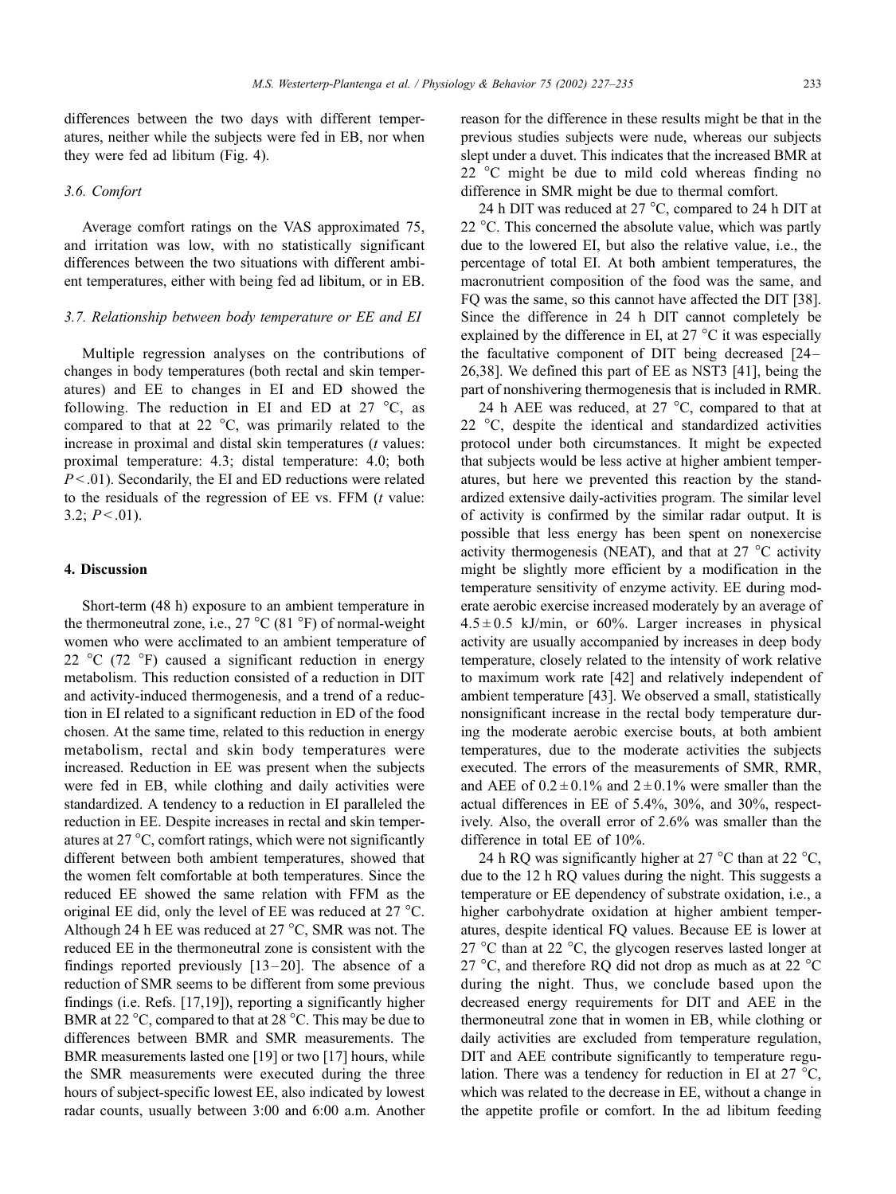#### 3.6. Comfort

Average comfort ratings on the VAS approximated 75, and irritation was low, with no statistically significant differences between the two situations with different ambient temperatures, either with being fed ad libitum, or in EB.

#### 3.7. Relationship between body temperature or EE and EI

Multiple regression analyses on the contributions of changes in body temperatures (both rectal and skin temperatures) and EE to changes in EI and ED showed the following. The reduction in EI and ED at  $27^{\circ}$ C, as compared to that at 22  $\degree$ C, was primarily related to the increase in proximal and distal skin temperatures  $(t$  values: proximal temperature: 4.3; distal temperature: 4.0; both  $P < .01$ ). Secondarily, the EI and ED reductions were related to the residuals of the regression of  $EE$  vs.  $FFM$  ( $t$  value: 3.2;  $P < .01$ ).

## 4. Discussion

Short-term (48 h) exposure to an ambient temperature in the thermoneutral zone, i.e.,  $27^{\circ}$ C (81  $^{\circ}$ F) of normal-weight women who were acclimated to an ambient temperature of 22  $^{\circ}$ C (72  $^{\circ}$ F) caused a significant reduction in energy metabolism. This reduction consisted of a reduction in DIT and activity-induced thermogenesis, and a trend of a reduction in EI related to a significant reduction in ED of the food chosen. At the same time, related to this reduction in energy metabolism, rectal and skin body temperatures were increased. Reduction in EE was present when the subjects were fed in EB, while clothing and daily activities were standardized. A tendency to a reduction in EI paralleled the reduction in EE. Despite increases in rectal and skin temperatures at  $27^{\circ}$ C, comfort ratings, which were not significantly different between both ambient temperatures, showed that the women felt comfortable at both temperatures. Since the reduced EE showed the same relation with FFM as the original EE did, only the level of EE was reduced at 27 °C. Although 24 h EE was reduced at  $27^{\circ}$ C, SMR was not. The reduced EE in the thermoneutral zone is consistent with the findings reported previously  $[13-20]$ . The absence of a reduction of SMR seems to be different from some previous findings (i.e. Refs. [17,19]), reporting a significantly higher BMR at 22  $\degree$ C, compared to that at 28  $\degree$ C. This may be due to differences between BMR and SMR measurements. The BMR measurements lasted one [19] or two [17] hours, while the SMR measurements were executed during the three hours of subject-specific lowest EE, also indicated by lowest radar counts, usually between 3:00 and 6:00 a.m. Another reason for the difference in these results might be that in the previous studies subjects were nude, whereas our subjects slept under a duvet. This indicates that the increased BMR at  $22^{\circ}$ C might be due to mild cold whereas finding no difference in SMR might be due to thermal comfort.

24 h DIT was reduced at  $27^{\circ}$ C, compared to 24 h DIT at 22  $\degree$ C. This concerned the absolute value, which was partly due to the lowered EI, but also the relative value, i.e., the percentage of total EI. At both ambient temperatures, the macronutrient composition of the food was the same, and FQ was the same, so this cannot have affected the DIT [38]. Since the difference in 24 h DIT cannot completely be explained by the difference in EI, at  $27^{\circ}$ C it was especially the facultative component of DIT being decreased [24 – 26,38]. We defined this part of EE as NST3 [41], being the part of nonshivering thermogenesis that is included in RMR.

24 h AEE was reduced, at 27  $^{\circ}$ C, compared to that at 22  $\degree$ C, despite the identical and standardized activities protocol under both circumstances. It might be expected that subjects would be less active at higher ambient temperatures, but here we prevented this reaction by the standardized extensive daily-activities program. The similar level of activity is confirmed by the similar radar output. It is possible that less energy has been spent on nonexercise activity thermogenesis (NEAT), and that at 27  $^{\circ}$ C activity might be slightly more efficient by a modification in the temperature sensitivity of enzyme activity. EE during moderate aerobic exercise increased moderately by an average of  $4.5 \pm 0.5$  kJ/min, or 60%. Larger increases in physical activity are usually accompanied by increases in deep body temperature, closely related to the intensity of work relative to maximum work rate [42] and relatively independent of ambient temperature [43]. We observed a small, statistically nonsignificant increase in the rectal body temperature during the moderate aerobic exercise bouts, at both ambient temperatures, due to the moderate activities the subjects executed. The errors of the measurements of SMR, RMR, and AEE of  $0.2 \pm 0.1\%$  and  $2 \pm 0.1\%$  were smaller than the actual differences in EE of 5.4%, 30%, and 30%, respectively. Also, the overall error of 2.6% was smaller than the difference in total EE of 10%.

24 h RQ was significantly higher at 27  $^{\circ}$ C than at 22  $^{\circ}$ C, due to the 12 h RQ values during the night. This suggests a temperature or EE dependency of substrate oxidation, i.e., a higher carbohydrate oxidation at higher ambient temperatures, despite identical FQ values. Because EE is lower at 27 °C than at 22 °C, the glycogen reserves lasted longer at 27  $\degree$ C, and therefore RQ did not drop as much as at 22  $\degree$ C during the night. Thus, we conclude based upon the decreased energy requirements for DIT and AEE in the thermoneutral zone that in women in EB, while clothing or daily activities are excluded from temperature regulation, DIT and AEE contribute significantly to temperature regulation. There was a tendency for reduction in EI at 27  $^{\circ}C$ , which was related to the decrease in EE, without a change in the appetite profile or comfort. In the ad libitum feeding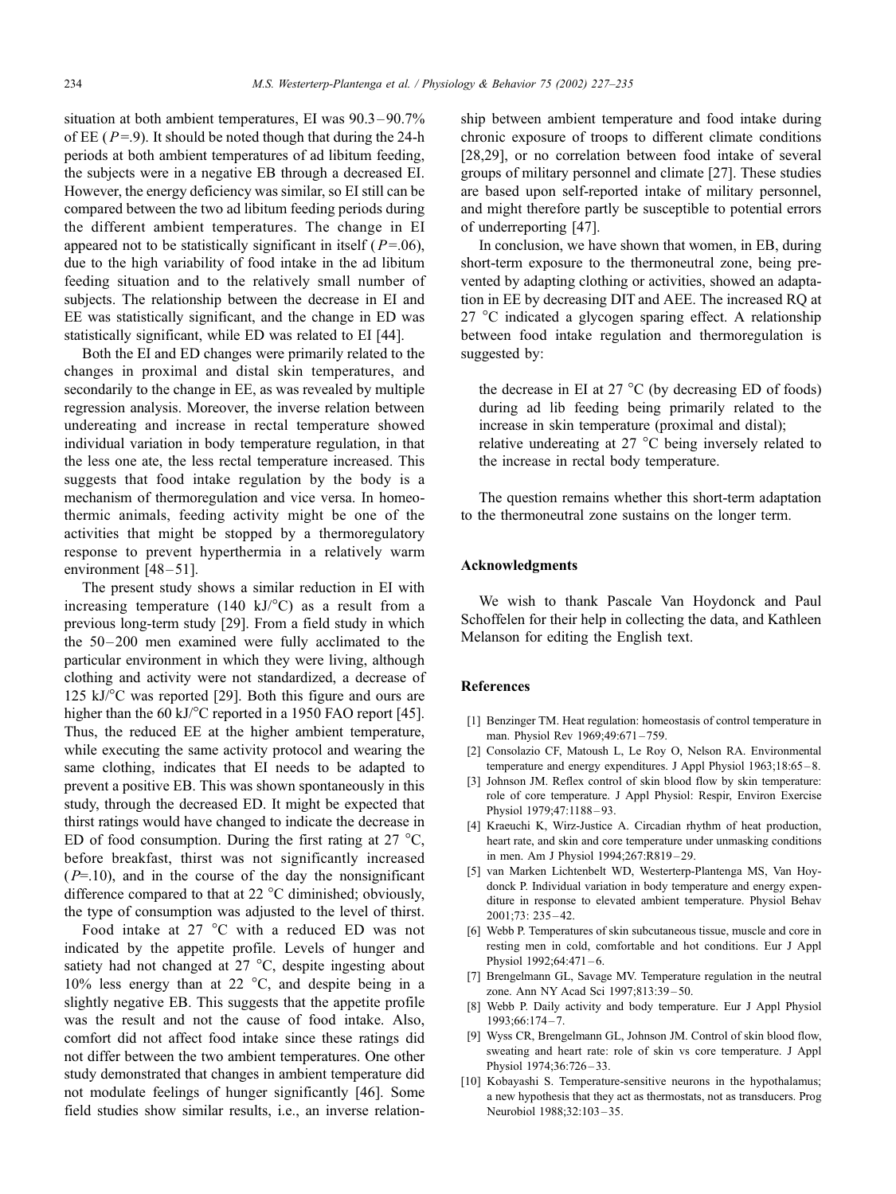situation at both ambient temperatures, EI was 90.3 – 90.7% of EE ( $P=9$ ). It should be noted though that during the 24-h periods at both ambient temperatures of ad libitum feeding, the subjects were in a negative EB through a decreased EI. However, the energy deficiency was similar, so EI still can be compared between the two ad libitum feeding periods during the different ambient temperatures. The change in EI appeared not to be statistically significant in itself ( $P=06$ ), due to the high variability of food intake in the ad libitum feeding situation and to the relatively small number of subjects. The relationship between the decrease in EI and EE was statistically significant, and the change in ED was statistically significant, while ED was related to EI [44].

Both the EI and ED changes were primarily related to the changes in proximal and distal skin temperatures, and secondarily to the change in EE, as was revealed by multiple regression analysis. Moreover, the inverse relation between undereating and increase in rectal temperature showed individual variation in body temperature regulation, in that the less one ate, the less rectal temperature increased. This suggests that food intake regulation by the body is a mechanism of thermoregulation and vice versa. In homeothermic animals, feeding activity might be one of the activities that might be stopped by a thermoregulatory response to prevent hyperthermia in a relatively warm environment  $[48-51]$ .

The present study shows a similar reduction in EI with increasing temperature (140 kJ/ $^{\circ}$ C) as a result from a previous long-term study [29]. From a field study in which the 50–200 men examined were fully acclimated to the particular environment in which they were living, although clothing and activity were not standardized, a decrease of 125 kJ $\degree$ C was reported [29]. Both this figure and ours are higher than the 60 kJ/°C reported in a 1950 FAO report [45]. Thus, the reduced EE at the higher ambient temperature, while executing the same activity protocol and wearing the same clothing, indicates that EI needs to be adapted to prevent a positive EB. This was shown spontaneously in this study, through the decreased ED. It might be expected that thirst ratings would have changed to indicate the decrease in ED of food consumption. During the first rating at  $27^{\circ}$ C, before breakfast, thirst was not significantly increased  $(P=10)$ , and in the course of the day the nonsignificant difference compared to that at 22  $^{\circ}$ C diminished; obviously, the type of consumption was adjusted to the level of thirst.

Food intake at 27  $\degree$ C with a reduced ED was not indicated by the appetite profile. Levels of hunger and satiety had not changed at  $27^{\circ}$ C, despite ingesting about 10% less energy than at 22  $\degree$ C, and despite being in a slightly negative EB. This suggests that the appetite profile was the result and not the cause of food intake. Also, comfort did not affect food intake since these ratings did not differ between the two ambient temperatures. One other study demonstrated that changes in ambient temperature did not modulate feelings of hunger significantly [46]. Some field studies show similar results, i.e., an inverse relationship between ambient temperature and food intake during chronic exposure of troops to different climate conditions [28,29], or no correlation between food intake of several groups of military personnel and climate [27]. These studies are based upon self-reported intake of military personnel, and might therefore partly be susceptible to potential errors of underreporting [47].

In conclusion, we have shown that women, in EB, during short-term exposure to the thermoneutral zone, being prevented by adapting clothing or activities, showed an adaptation in EE by decreasing DIT and AEE. The increased RQ at  $27^{\circ}$ C indicated a glycogen sparing effect. A relationship between food intake regulation and thermoregulation is suggested by:

the decrease in EI at 27  $^{\circ}$ C (by decreasing ED of foods) during ad lib feeding being primarily related to the increase in skin temperature (proximal and distal); relative undereating at  $27^{\circ}$ C being inversely related to the increase in rectal body temperature.

The question remains whether this short-term adaptation to the thermoneutral zone sustains on the longer term.

## Acknowledgments

We wish to thank Pascale Van Hoydonck and Paul Schoffelen for their help in collecting the data, and Kathleen Melanson for editing the English text.

#### References

- [1] Benzinger TM. Heat regulation: homeostasis of control temperature in man. Physiol Rev 1969;49:671-759.
- [2] Consolazio CF, Matoush L, Le Roy O, Nelson RA. Environmental temperature and energy expenditures. J Appl Physiol 1963;18:65 – 8.
- [3] Johnson JM. Reflex control of skin blood flow by skin temperature: role of core temperature. J Appl Physiol: Respir, Environ Exercise Physiol 1979;47:1188-93.
- [4] Kraeuchi K, Wirz-Justice A. Circadian rhythm of heat production, heart rate, and skin and core temperature under unmasking conditions in men. Am J Physiol 1994;267:R819 – 29.
- [5] van Marken Lichtenbelt WD, Westerterp-Plantenga MS, Van Hoydonck P. Individual variation in body temperature and energy expenditure in response to elevated ambient temperature. Physiol Behav 2001;73: 235 – 42.
- [6] Webb P. Temperatures of skin subcutaneous tissue, muscle and core in resting men in cold, comfortable and hot conditions. Eur J Appl Physiol 1992;64:471-6.
- [7] Brengelmann GL, Savage MV. Temperature regulation in the neutral zone. Ann NY Acad Sci 1997;813:39 – 50.
- [8] Webb P. Daily activity and body temperature. Eur J Appl Physiol 1993;66:174 – 7.
- [9] Wyss CR, Brengelmann GL, Johnson JM. Control of skin blood flow, sweating and heart rate: role of skin vs core temperature. J Appl Physiol 1974;36:726-33.
- [10] Kobayashi S. Temperature-sensitive neurons in the hypothalamus; a new hypothesis that they act as thermostats, not as transducers. Prog Neurobiol 1988;32:103 – 35.